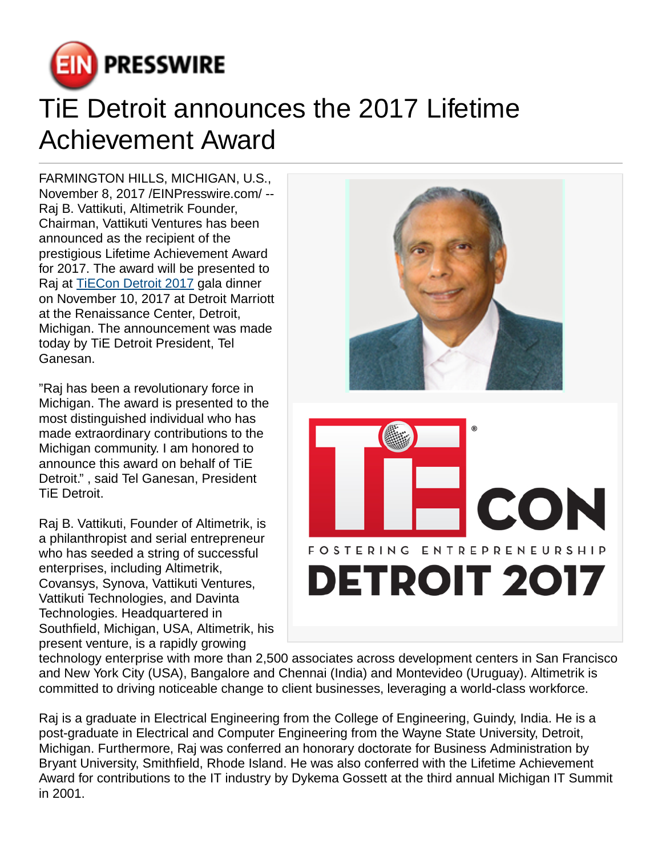

## TiE Detroit announces the 2017 Lifetime Achievement Award

FARMINGTON HILLS, MICHIGAN, U.S., November 8, 2017 /[EINPresswire.com](http://www.einpresswire.com)/ -- Raj B. Vattikuti, Altimetrik Founder, Chairman, Vattikuti Ventures has been announced as the recipient of the prestigious Lifetime Achievement Award for 2017. The award will be presented to Raj at [TiECon Detroit 2017](http://www.tiecondetroit.org/) gala dinner on November 10, 2017 at Detroit Marriott at the Renaissance Center, Detroit, Michigan. The announcement was made today by TiE Detroit President, Tel Ganesan.

"Raj has been a revolutionary force in Michigan. The award is presented to the most distinguished individual who has made extraordinary contributions to the Michigan community. I am honored to announce this award on behalf of TiE Detroit." , said Tel Ganesan, President TiE Detroit.

Raj B. Vattikuti, Founder of Altimetrik, is a philanthropist and serial entrepreneur who has seeded a string of successful enterprises, including Altimetrik, Covansys, Synova, Vattikuti Ventures, Vattikuti Technologies, and Davinta Technologies. Headquartered in Southfield, Michigan, USA, Altimetrik, his present venture, is a rapidly growing



technology enterprise with more than 2,500 associates across development centers in San Francisco and New York City (USA), Bangalore and Chennai (India) and Montevideo (Uruguay). Altimetrik is committed to driving noticeable change to client businesses, leveraging a world-class workforce.

Raj is a graduate in Electrical Engineering from the College of Engineering, Guindy, India. He is a post-graduate in Electrical and Computer Engineering from the Wayne State University, Detroit, Michigan. Furthermore, Raj was conferred an honorary doctorate for Business Administration by Bryant University, Smithfield, Rhode Island. He was also conferred with the Lifetime Achievement Award for contributions to the IT industry by Dykema Gossett at the third annual Michigan IT Summit in 2001.